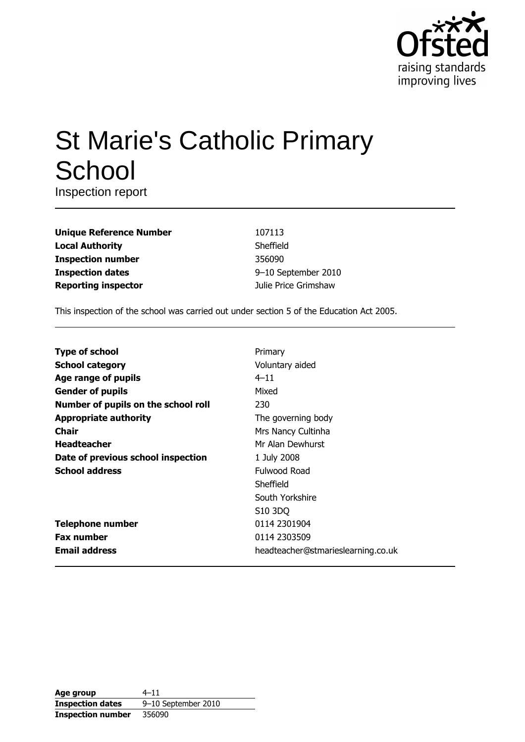

# **St Marie's Catholic Primary** School

Inspection report

| <b>Unique Reference Number</b> |
|--------------------------------|
| <b>Local Authority</b>         |
| <b>Inspection number</b>       |
| <b>Inspection dates</b>        |
| <b>Reporting inspector</b>     |

107113 Sheffield 356090 9-10 September 2010 Julie Price Grimshaw

This inspection of the school was carried out under section 5 of the Education Act 2005.

| <b>Type of school</b>               | Primary                            |
|-------------------------------------|------------------------------------|
| <b>School category</b>              | Voluntary aided                    |
| Age range of pupils                 | $4 - 11$                           |
| <b>Gender of pupils</b>             | Mixed                              |
| Number of pupils on the school roll | 230                                |
| <b>Appropriate authority</b>        | The governing body                 |
| <b>Chair</b>                        | Mrs Nancy Cultinha                 |
| <b>Headteacher</b>                  | Mr Alan Dewhurst                   |
| Date of previous school inspection  | 1 July 2008                        |
| <b>School address</b>               | Fulwood Road                       |
|                                     | Sheffield                          |
|                                     | South Yorkshire                    |
|                                     | S <sub>10</sub> 3DQ                |
| <b>Telephone number</b>             | 0114 2301904                       |
| <b>Fax number</b>                   | 0114 2303509                       |
| <b>Email address</b>                | headteacher@stmarieslearning.co.uk |

| Age group                | $4 - 11$            |
|--------------------------|---------------------|
| <b>Inspection dates</b>  | 9-10 September 2010 |
| <b>Inspection number</b> | 356090              |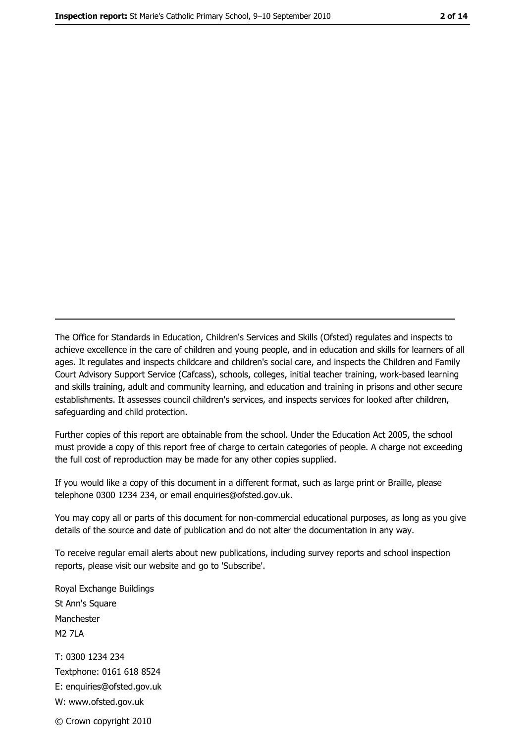The Office for Standards in Education, Children's Services and Skills (Ofsted) regulates and inspects to achieve excellence in the care of children and young people, and in education and skills for learners of all ages. It regulates and inspects childcare and children's social care, and inspects the Children and Family Court Advisory Support Service (Cafcass), schools, colleges, initial teacher training, work-based learning and skills training, adult and community learning, and education and training in prisons and other secure establishments. It assesses council children's services, and inspects services for looked after children, safeguarding and child protection.

Further copies of this report are obtainable from the school. Under the Education Act 2005, the school must provide a copy of this report free of charge to certain categories of people. A charge not exceeding the full cost of reproduction may be made for any other copies supplied.

If you would like a copy of this document in a different format, such as large print or Braille, please telephone 0300 1234 234, or email enquiries@ofsted.gov.uk.

You may copy all or parts of this document for non-commercial educational purposes, as long as you give details of the source and date of publication and do not alter the documentation in any way.

To receive regular email alerts about new publications, including survey reports and school inspection reports, please visit our website and go to 'Subscribe'.

Royal Exchange Buildings St Ann's Square Manchester **M2 7I A** T: 0300 1234 234 Textphone: 0161 618 8524 E: enquiries@ofsted.gov.uk W: www.ofsted.gov.uk © Crown copyright 2010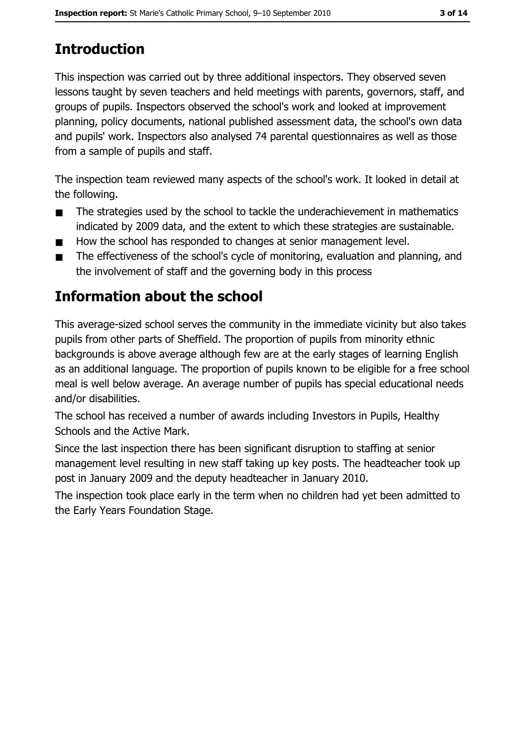# **Introduction**

This inspection was carried out by three additional inspectors. They observed seven lessons taught by seven teachers and held meetings with parents, governors, staff, and groups of pupils. Inspectors observed the school's work and looked at improvement planning, policy documents, national published assessment data, the school's own data and pupils' work. Inspectors also analysed 74 parental questionnaires as well as those from a sample of pupils and staff.

The inspection team reviewed many aspects of the school's work. It looked in detail at the following.

- The strategies used by the school to tackle the underachievement in mathematics  $\blacksquare$ indicated by 2009 data, and the extent to which these strategies are sustainable.
- How the school has responded to changes at senior management level.  $\blacksquare$
- The effectiveness of the school's cycle of monitoring, evaluation and planning, and  $\blacksquare$ the involvement of staff and the governing body in this process

# Information about the school

This average-sized school serves the community in the immediate vicinity but also takes pupils from other parts of Sheffield. The proportion of pupils from minority ethnic backgrounds is above average although few are at the early stages of learning English as an additional language. The proportion of pupils known to be eligible for a free school meal is well below average. An average number of pupils has special educational needs and/or disabilities.

The school has received a number of awards including Investors in Pupils, Healthy Schools and the Active Mark.

Since the last inspection there has been significant disruption to staffing at senior management level resulting in new staff taking up key posts. The headteacher took up post in January 2009 and the deputy headteacher in January 2010.

The inspection took place early in the term when no children had yet been admitted to the Early Years Foundation Stage.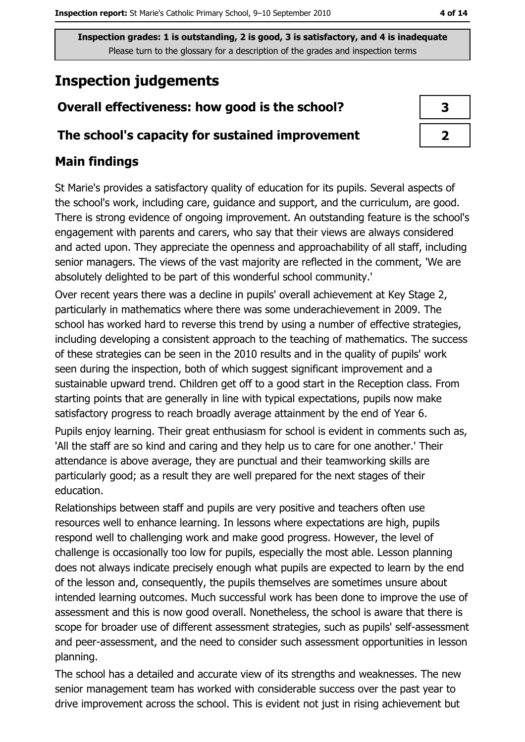## **Inspection judgements**

## Overall effectiveness: how good is the school?

#### The school's capacity for sustained improvement

### **Main findings**

St Marie's provides a satisfactory quality of education for its pupils. Several aspects of the school's work, including care, guidance and support, and the curriculum, are good. There is strong evidence of ongoing improvement. An outstanding feature is the school's engagement with parents and carers, who say that their views are always considered and acted upon. They appreciate the openness and approachability of all staff, including senior managers. The views of the vast majority are reflected in the comment, 'We are absolutely delighted to be part of this wonderful school community.'

Over recent years there was a decline in pupils' overall achievement at Key Stage 2, particularly in mathematics where there was some underachievement in 2009. The school has worked hard to reverse this trend by using a number of effective strategies, including developing a consistent approach to the teaching of mathematics. The success of these strategies can be seen in the 2010 results and in the quality of pupils' work seen during the inspection, both of which suggest significant improvement and a sustainable upward trend. Children get off to a good start in the Reception class. From starting points that are generally in line with typical expectations, pupils now make satisfactory progress to reach broadly average attainment by the end of Year 6.

Pupils enjoy learning. Their great enthusiasm for school is evident in comments such as, 'All the staff are so kind and caring and they help us to care for one another.' Their attendance is above average, they are punctual and their teamworking skills are particularly good; as a result they are well prepared for the next stages of their education.

Relationships between staff and pupils are very positive and teachers often use resources well to enhance learning. In lessons where expectations are high, pupils respond well to challenging work and make good progress. However, the level of challenge is occasionally too low for pupils, especially the most able. Lesson planning does not always indicate precisely enough what pupils are expected to learn by the end of the lesson and, consequently, the pupils themselves are sometimes unsure about intended learning outcomes. Much successful work has been done to improve the use of assessment and this is now good overall. Nonetheless, the school is aware that there is scope for broader use of different assessment strategies, such as pupils' self-assessment and peer-assessment, and the need to consider such assessment opportunities in lesson planning.

The school has a detailed and accurate view of its strengths and weaknesses. The new senior management team has worked with considerable success over the past year to drive improvement across the school. This is evident not just in rising achievement but

| ۰. |
|----|
|    |

| 3 |
|---|
|   |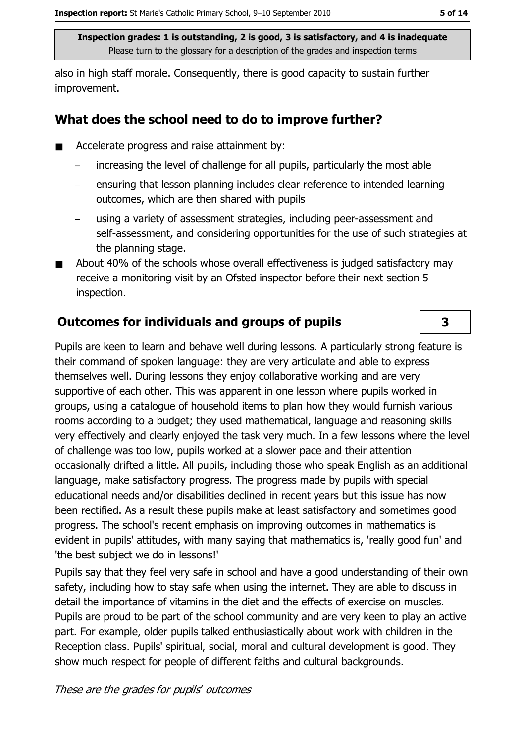also in high staff morale. Consequently, there is good capacity to sustain further improvement.

#### What does the school need to do to improve further?

- Accelerate progress and raise attainment by:  $\blacksquare$ 
	- increasing the level of challenge for all pupils, particularly the most able  $\equiv$
	- ensuring that lesson planning includes clear reference to intended learning outcomes, which are then shared with pupils
	- using a variety of assessment strategies, including peer-assessment and self-assessment, and considering opportunities for the use of such strategies at the planning stage.
- About 40% of the schools whose overall effectiveness is judged satisfactory may  $\blacksquare$ receive a monitoring visit by an Ofsted inspector before their next section 5 inspection.

### **Outcomes for individuals and groups of pupils**

Pupils are keen to learn and behave well during lessons. A particularly strong feature is their command of spoken language: they are very articulate and able to express themselves well. During lessons they enjoy collaborative working and are very supportive of each other. This was apparent in one lesson where pupils worked in groups, using a catalogue of household items to plan how they would furnish various rooms according to a budget; they used mathematical, language and reasoning skills very effectively and clearly enjoyed the task very much. In a few lessons where the level of challenge was too low, pupils worked at a slower pace and their attention occasionally drifted a little. All pupils, including those who speak English as an additional language, make satisfactory progress. The progress made by pupils with special educational needs and/or disabilities declined in recent years but this issue has now been rectified. As a result these pupils make at least satisfactory and sometimes good progress. The school's recent emphasis on improving outcomes in mathematics is evident in pupils' attitudes, with many saying that mathematics is, 'really good fun' and 'the best subject we do in lessons!'

Pupils say that they feel very safe in school and have a good understanding of their own safety, including how to stay safe when using the internet. They are able to discuss in detail the importance of vitamins in the diet and the effects of exercise on muscles. Pupils are proud to be part of the school community and are very keen to play an active part. For example, older pupils talked enthusiastically about work with children in the Reception class. Pupils' spiritual, social, moral and cultural development is good. They show much respect for people of different faiths and cultural backgrounds.

3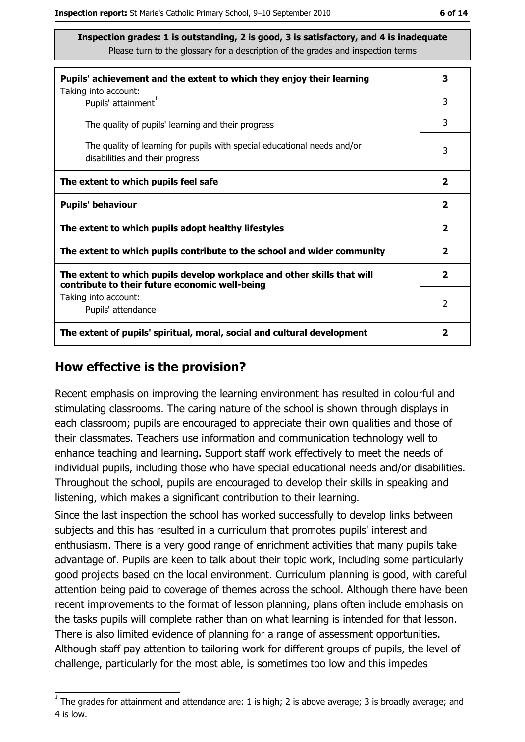| Pupils' achievement and the extent to which they enjoy their learning                                                     |  |  |  |
|---------------------------------------------------------------------------------------------------------------------------|--|--|--|
| Taking into account:<br>Pupils' attainment <sup>1</sup>                                                                   |  |  |  |
| The quality of pupils' learning and their progress                                                                        |  |  |  |
| The quality of learning for pupils with special educational needs and/or<br>disabilities and their progress               |  |  |  |
| The extent to which pupils feel safe                                                                                      |  |  |  |
| <b>Pupils' behaviour</b>                                                                                                  |  |  |  |
| The extent to which pupils adopt healthy lifestyles                                                                       |  |  |  |
| The extent to which pupils contribute to the school and wider community                                                   |  |  |  |
| The extent to which pupils develop workplace and other skills that will<br>contribute to their future economic well-being |  |  |  |
| Taking into account:<br>Pupils' attendance <sup>1</sup>                                                                   |  |  |  |
| The extent of pupils' spiritual, moral, social and cultural development                                                   |  |  |  |

#### How effective is the provision?

Recent emphasis on improving the learning environment has resulted in colourful and stimulating classrooms. The caring nature of the school is shown through displays in each classroom; pupils are encouraged to appreciate their own qualities and those of their classmates. Teachers use information and communication technology well to enhance teaching and learning. Support staff work effectively to meet the needs of individual pupils, including those who have special educational needs and/or disabilities. Throughout the school, pupils are encouraged to develop their skills in speaking and listening, which makes a significant contribution to their learning.

Since the last inspection the school has worked successfully to develop links between subjects and this has resulted in a curriculum that promotes pupils' interest and enthusiasm. There is a very good range of enrichment activities that many pupils take advantage of. Pupils are keen to talk about their topic work, including some particularly good projects based on the local environment. Curriculum planning is good, with careful attention being paid to coverage of themes across the school. Although there have been recent improvements to the format of lesson planning, plans often include emphasis on the tasks pupils will complete rather than on what learning is intended for that lesson. There is also limited evidence of planning for a range of assessment opportunities. Although staff pay attention to tailoring work for different groups of pupils, the level of challenge, particularly for the most able, is sometimes too low and this impedes

 $1$  The grades for attainment and attendance are: 1 is high; 2 is above average; 3 is broadly average; and 4 is low.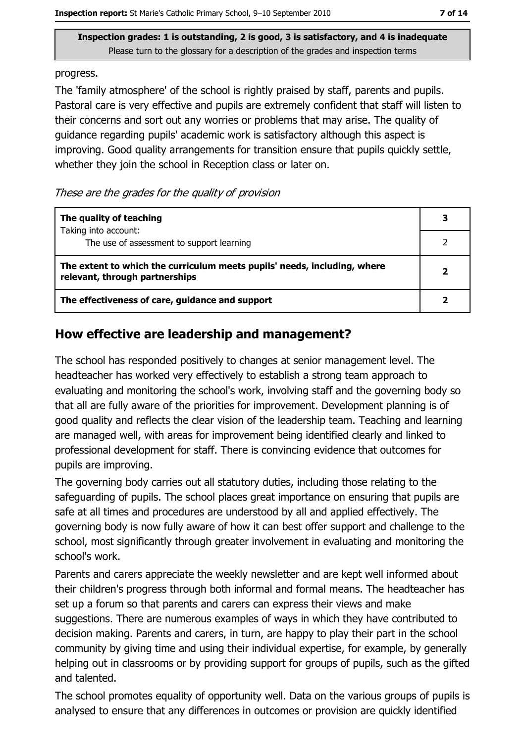progress.

The 'family atmosphere' of the school is rightly praised by staff, parents and pupils. Pastoral care is very effective and pupils are extremely confident that staff will listen to their concerns and sort out any worries or problems that may arise. The quality of guidance regarding pupils' academic work is satisfactory although this aspect is improving. Good quality arrangements for transition ensure that pupils quickly settle, whether they join the school in Reception class or later on.

These are the grades for the quality of provision

| The quality of teaching                                                                                    |  |
|------------------------------------------------------------------------------------------------------------|--|
| Taking into account:<br>The use of assessment to support learning                                          |  |
| The extent to which the curriculum meets pupils' needs, including, where<br>relevant, through partnerships |  |
| The effectiveness of care, guidance and support                                                            |  |

#### How effective are leadership and management?

The school has responded positively to changes at senior management level. The headteacher has worked very effectively to establish a strong team approach to evaluating and monitoring the school's work, involving staff and the governing body so that all are fully aware of the priorities for improvement. Development planning is of good quality and reflects the clear vision of the leadership team. Teaching and learning are managed well, with areas for improvement being identified clearly and linked to professional development for staff. There is convincing evidence that outcomes for pupils are improving.

The governing body carries out all statutory duties, including those relating to the safeguarding of pupils. The school places great importance on ensuring that pupils are safe at all times and procedures are understood by all and applied effectively. The governing body is now fully aware of how it can best offer support and challenge to the school, most significantly through greater involvement in evaluating and monitoring the school's work.

Parents and carers appreciate the weekly newsletter and are kept well informed about their children's progress through both informal and formal means. The headteacher has set up a forum so that parents and carers can express their views and make suggestions. There are numerous examples of ways in which they have contributed to decision making. Parents and carers, in turn, are happy to play their part in the school community by giving time and using their individual expertise, for example, by generally helping out in classrooms or by providing support for groups of pupils, such as the gifted and talented.

The school promotes equality of opportunity well. Data on the various groups of pupils is analysed to ensure that any differences in outcomes or provision are quickly identified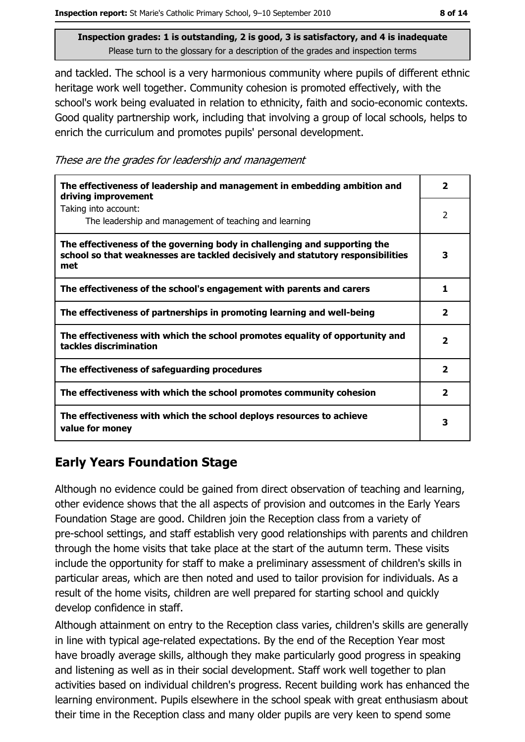and tackled. The school is a very harmonious community where pupils of different ethnic heritage work well together. Community cohesion is promoted effectively, with the school's work being evaluated in relation to ethnicity, faith and socio-economic contexts. Good quality partnership work, including that involving a group of local schools, helps to enrich the curriculum and promotes pupils' personal development.

These are the grades for leadership and management

| The effectiveness of leadership and management in embedding ambition and<br>driving improvement                                                                     |                         |  |
|---------------------------------------------------------------------------------------------------------------------------------------------------------------------|-------------------------|--|
| Taking into account:<br>The leadership and management of teaching and learning                                                                                      | 2                       |  |
| The effectiveness of the governing body in challenging and supporting the<br>school so that weaknesses are tackled decisively and statutory responsibilities<br>met | 3                       |  |
| The effectiveness of the school's engagement with parents and carers                                                                                                | 1                       |  |
| The effectiveness of partnerships in promoting learning and well-being                                                                                              | $\overline{\mathbf{2}}$ |  |
| The effectiveness with which the school promotes equality of opportunity and<br>tackles discrimination                                                              | 2                       |  |
| The effectiveness of safeguarding procedures                                                                                                                        | $\overline{\mathbf{2}}$ |  |
| The effectiveness with which the school promotes community cohesion                                                                                                 | $\overline{\mathbf{2}}$ |  |
| The effectiveness with which the school deploys resources to achieve<br>value for money                                                                             | 3                       |  |

## **Early Years Foundation Stage**

Although no evidence could be gained from direct observation of teaching and learning, other evidence shows that the all aspects of provision and outcomes in the Early Years Foundation Stage are good. Children join the Reception class from a variety of pre-school settings, and staff establish very good relationships with parents and children through the home visits that take place at the start of the autumn term. These visits include the opportunity for staff to make a preliminary assessment of children's skills in particular areas, which are then noted and used to tailor provision for individuals. As a result of the home visits, children are well prepared for starting school and quickly develop confidence in staff.

Although attainment on entry to the Reception class varies, children's skills are generally in line with typical age-related expectations. By the end of the Reception Year most have broadly average skills, although they make particularly good progress in speaking and listening as well as in their social development. Staff work well together to plan activities based on individual children's progress. Recent building work has enhanced the learning environment. Pupils elsewhere in the school speak with great enthusiasm about their time in the Reception class and many older pupils are very keen to spend some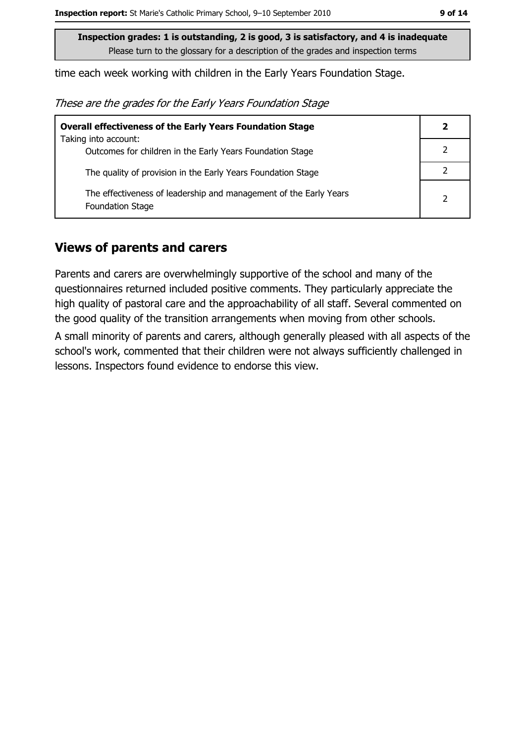time each week working with children in the Early Years Foundation Stage.

These are the grades for the Early Years Foundation Stage

| <b>Overall effectiveness of the Early Years Foundation Stage</b>                             | $\mathbf{2}$ |
|----------------------------------------------------------------------------------------------|--------------|
| Taking into account:<br>Outcomes for children in the Early Years Foundation Stage            |              |
|                                                                                              |              |
| The quality of provision in the Early Years Foundation Stage                                 |              |
| The effectiveness of leadership and management of the Early Years<br><b>Foundation Stage</b> | 2            |

#### **Views of parents and carers**

Parents and carers are overwhelmingly supportive of the school and many of the questionnaires returned included positive comments. They particularly appreciate the high quality of pastoral care and the approachability of all staff. Several commented on the good quality of the transition arrangements when moving from other schools.

A small minority of parents and carers, although generally pleased with all aspects of the school's work, commented that their children were not always sufficiently challenged in lessons. Inspectors found evidence to endorse this view.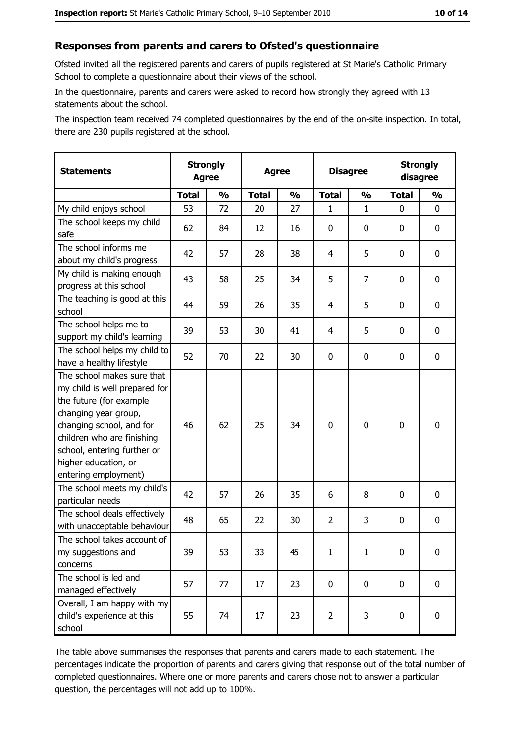#### Responses from parents and carers to Ofsted's questionnaire

Ofsted invited all the registered parents and carers of pupils registered at St Marie's Catholic Primary School to complete a questionnaire about their views of the school.

In the questionnaire, parents and carers were asked to record how strongly they agreed with 13 statements about the school.

The inspection team received 74 completed questionnaires by the end of the on-site inspection. In total, there are 230 pupils registered at the school.

| <b>Statements</b>                                                                                                                                                                                                                                       | <b>Strongly</b><br><b>Agree</b> |               |              | <b>Agree</b>  |                | <b>Disagree</b> |              | <b>Strongly</b><br>disagree |
|---------------------------------------------------------------------------------------------------------------------------------------------------------------------------------------------------------------------------------------------------------|---------------------------------|---------------|--------------|---------------|----------------|-----------------|--------------|-----------------------------|
|                                                                                                                                                                                                                                                         | <b>Total</b>                    | $\frac{1}{2}$ | <b>Total</b> | $\frac{0}{0}$ | <b>Total</b>   | $\frac{1}{2}$   | <b>Total</b> | $\frac{1}{2}$               |
| My child enjoys school                                                                                                                                                                                                                                  | 53                              | 72            | 20           | 27            | 1              | $\mathbf 1$     | $\Omega$     | 0                           |
| The school keeps my child<br>safe                                                                                                                                                                                                                       | 62                              | 84            | 12           | 16            | $\mathbf 0$    | 0               | $\mathbf{0}$ | 0                           |
| The school informs me<br>about my child's progress                                                                                                                                                                                                      | 42                              | 57            | 28           | 38            | 4              | 5               | $\mathbf{0}$ | 0                           |
| My child is making enough<br>progress at this school                                                                                                                                                                                                    | 43                              | 58            | 25           | 34            | 5              | 7               | 0            | 0                           |
| The teaching is good at this<br>school                                                                                                                                                                                                                  | 44                              | 59            | 26           | 35            | $\overline{4}$ | 5               | 0            | 0                           |
| The school helps me to<br>support my child's learning                                                                                                                                                                                                   | 39                              | 53            | 30           | 41            | 4              | 5               | 0            | 0                           |
| The school helps my child to<br>have a healthy lifestyle                                                                                                                                                                                                | 52                              | 70            | 22           | 30            | $\mathbf 0$    | 0               | 0            | 0                           |
| The school makes sure that<br>my child is well prepared for<br>the future (for example<br>changing year group,<br>changing school, and for<br>children who are finishing<br>school, entering further or<br>higher education, or<br>entering employment) | 46                              | 62            | 25           | 34            | $\mathbf 0$    | 0               | 0            | 0                           |
| The school meets my child's<br>particular needs                                                                                                                                                                                                         | 42                              | 57            | 26           | 35            | 6              | 8               | 0            | 0                           |
| The school deals effectively<br>with unacceptable behaviour                                                                                                                                                                                             | 48                              | 65            | 22           | 30            | $\overline{2}$ | 3               | 0            | 0                           |
| The school takes account of<br>my suggestions and<br>concerns                                                                                                                                                                                           | 39                              | 53            | 33           | 45            | $\mathbf{1}$   | $\mathbf{1}$    | 0            | 0                           |
| The school is led and<br>managed effectively                                                                                                                                                                                                            | 57                              | 77            | 17           | 23            | $\mathbf 0$    | 0               | 0            | $\mathbf 0$                 |
| Overall, I am happy with my<br>child's experience at this<br>school                                                                                                                                                                                     | 55                              | 74            | 17           | 23            | $\overline{2}$ | 3               | $\mathbf 0$  | 0                           |

The table above summarises the responses that parents and carers made to each statement. The percentages indicate the proportion of parents and carers giving that response out of the total number of completed questionnaires. Where one or more parents and carers chose not to answer a particular question, the percentages will not add up to 100%.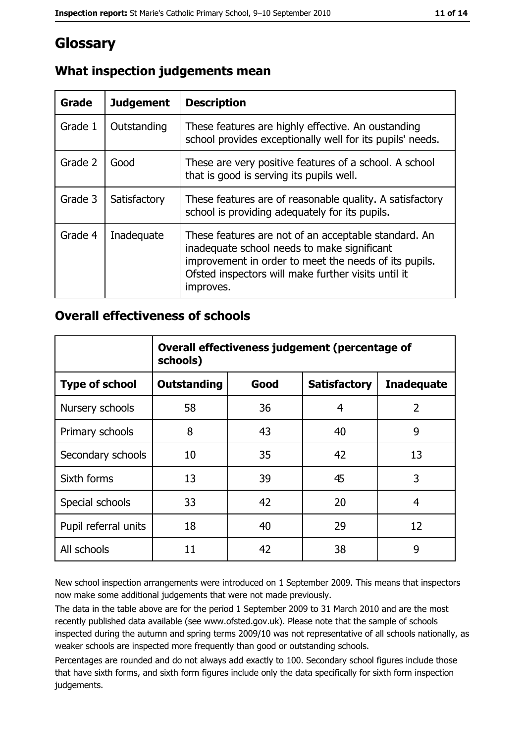## **Glossary**

| <b>Grade</b> | <b>Judgement</b> | <b>Description</b>                                                                                                                                                                                                               |
|--------------|------------------|----------------------------------------------------------------------------------------------------------------------------------------------------------------------------------------------------------------------------------|
| Grade 1      | Outstanding      | These features are highly effective. An oustanding<br>school provides exceptionally well for its pupils' needs.                                                                                                                  |
| Grade 2      | Good             | These are very positive features of a school. A school<br>that is good is serving its pupils well.                                                                                                                               |
| Grade 3      | Satisfactory     | These features are of reasonable quality. A satisfactory<br>school is providing adequately for its pupils.                                                                                                                       |
| Grade 4      | Inadequate       | These features are not of an acceptable standard. An<br>inadequate school needs to make significant<br>improvement in order to meet the needs of its pupils.<br>Ofsted inspectors will make further visits until it<br>improves. |

## What inspection judgements mean

#### **Overall effectiveness of schools**

|                       | Overall effectiveness judgement (percentage of<br>schools) |      |                     |                   |  |  |  |
|-----------------------|------------------------------------------------------------|------|---------------------|-------------------|--|--|--|
| <b>Type of school</b> | <b>Outstanding</b>                                         | Good | <b>Satisfactory</b> | <b>Inadequate</b> |  |  |  |
| Nursery schools       | 58                                                         | 36   | 4                   | $\overline{2}$    |  |  |  |
| Primary schools       | 8                                                          | 43   | 40                  | 9                 |  |  |  |
| Secondary schools     | 10                                                         | 35   | 42                  | 13                |  |  |  |
| Sixth forms           | 13                                                         | 39   | 45                  | 3                 |  |  |  |
| Special schools       | 33                                                         | 42   | 20                  | 4                 |  |  |  |
| Pupil referral units  | 18                                                         | 40   | 29                  | 12                |  |  |  |
| All schools           | 11                                                         | 42   | 38                  | 9                 |  |  |  |

New school inspection arrangements were introduced on 1 September 2009. This means that inspectors now make some additional judgements that were not made previously.

The data in the table above are for the period 1 September 2009 to 31 March 2010 and are the most recently published data available (see www.ofsted.gov.uk). Please note that the sample of schools inspected during the autumn and spring terms 2009/10 was not representative of all schools nationally, as weaker schools are inspected more frequently than good or outstanding schools.

Percentages are rounded and do not always add exactly to 100. Secondary school figures include those that have sixth forms, and sixth form figures include only the data specifically for sixth form inspection judgements.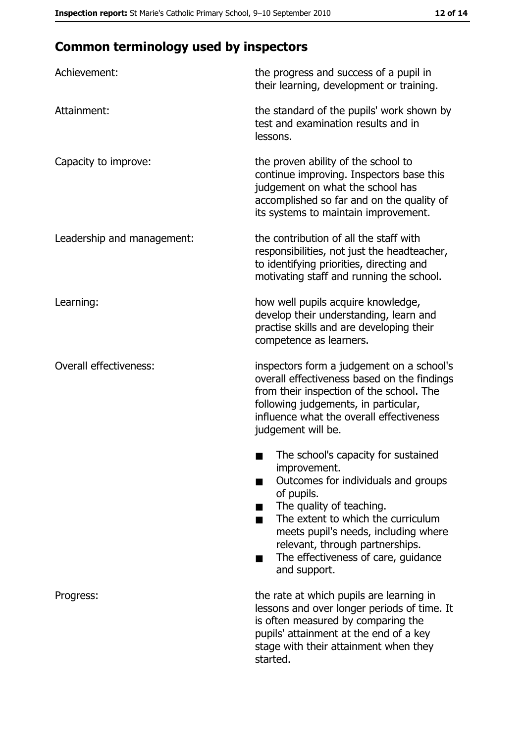## **Common terminology used by inspectors**

| Achievement:                  | the progress and success of a pupil in<br>their learning, development or training.                                                                                                                                                                                                                           |
|-------------------------------|--------------------------------------------------------------------------------------------------------------------------------------------------------------------------------------------------------------------------------------------------------------------------------------------------------------|
| Attainment:                   | the standard of the pupils' work shown by<br>test and examination results and in<br>lessons.                                                                                                                                                                                                                 |
| Capacity to improve:          | the proven ability of the school to<br>continue improving. Inspectors base this<br>judgement on what the school has<br>accomplished so far and on the quality of<br>its systems to maintain improvement.                                                                                                     |
| Leadership and management:    | the contribution of all the staff with<br>responsibilities, not just the headteacher,<br>to identifying priorities, directing and<br>motivating staff and running the school.                                                                                                                                |
| Learning:                     | how well pupils acquire knowledge,<br>develop their understanding, learn and<br>practise skills and are developing their<br>competence as learners.                                                                                                                                                          |
| <b>Overall effectiveness:</b> | inspectors form a judgement on a school's<br>overall effectiveness based on the findings<br>from their inspection of the school. The<br>following judgements, in particular,<br>influence what the overall effectiveness<br>judgement will be.                                                               |
|                               | The school's capacity for sustained<br>improvement.<br>Outcomes for individuals and groups<br>of pupils.<br>The quality of teaching.<br>The extent to which the curriculum<br>meets pupil's needs, including where<br>relevant, through partnerships.<br>The effectiveness of care, guidance<br>and support. |
| Progress:                     | the rate at which pupils are learning in<br>lessons and over longer periods of time. It<br>is often measured by comparing the<br>pupils' attainment at the end of a key<br>stage with their attainment when they<br>started.                                                                                 |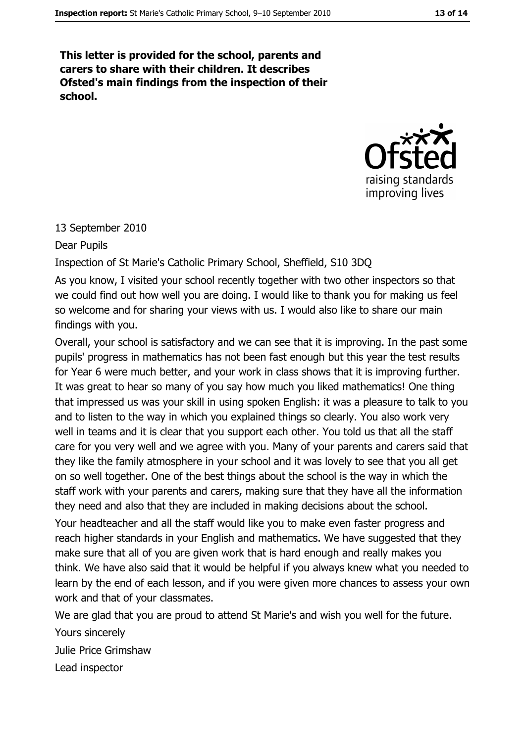This letter is provided for the school, parents and carers to share with their children. It describes Ofsted's main findings from the inspection of their school.



#### 13 September 2010

Dear Pupils

Inspection of St Marie's Catholic Primary School, Sheffield, S10 3DQ

As you know, I visited your school recently together with two other inspectors so that we could find out how well you are doing. I would like to thank you for making us feel so welcome and for sharing your views with us. I would also like to share our main findings with you.

Overall, your school is satisfactory and we can see that it is improving. In the past some pupils' progress in mathematics has not been fast enough but this year the test results for Year 6 were much better, and your work in class shows that it is improving further. It was great to hear so many of you say how much you liked mathematics! One thing that impressed us was your skill in using spoken English: it was a pleasure to talk to you and to listen to the way in which you explained things so clearly. You also work very well in teams and it is clear that you support each other. You told us that all the staff care for you very well and we agree with you. Many of your parents and carers said that they like the family atmosphere in your school and it was lovely to see that you all get on so well together. One of the best things about the school is the way in which the staff work with your parents and carers, making sure that they have all the information they need and also that they are included in making decisions about the school.

Your headteacher and all the staff would like you to make even faster progress and reach higher standards in your English and mathematics. We have suggested that they make sure that all of you are given work that is hard enough and really makes you think. We have also said that it would be helpful if you always knew what you needed to learn by the end of each lesson, and if you were given more chances to assess your own work and that of your classmates.

We are glad that you are proud to attend St Marie's and wish you well for the future.

Yours sincerely

Julie Price Grimshaw

Lead inspector